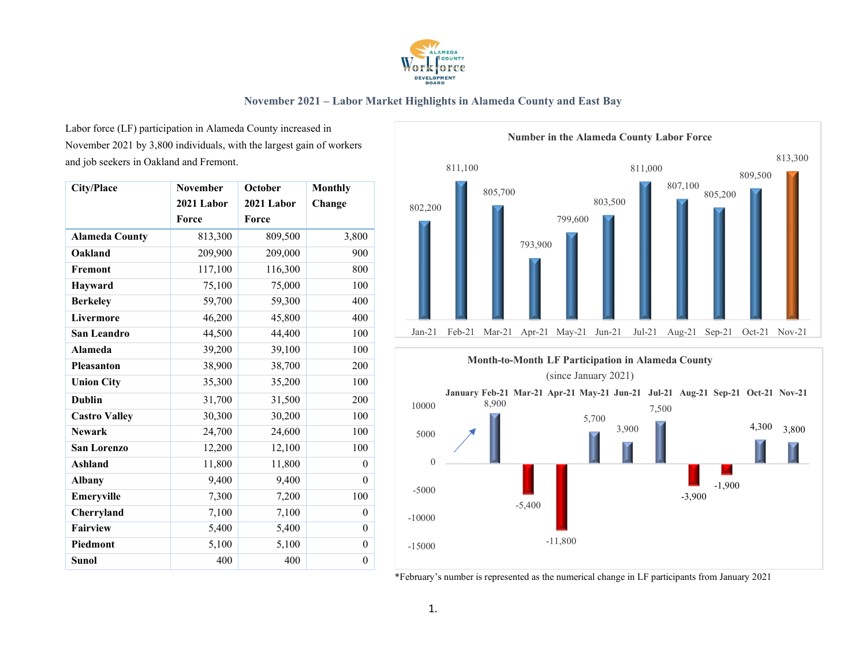

Labor force (LF) participation in Alameda County increased in November 2021 by 3,800 individuals, with the largest gain of workers and job seekers in Oakland and Fremont.

| <b>City/Place</b>     | November   | October    | <b>Monthly</b> |
|-----------------------|------------|------------|----------------|
|                       | 2021 Labor | 2021 Labor | Change         |
|                       | Force      | Force      |                |
| <b>Alameda County</b> | 813,300    | 809,500    | 3,800          |
| Oakland               | 209,900    | 209,000    | 900            |
| Fremont               | 117,100    | 116,300    | 800            |
| Hayward               | 75,100     | 75,000     | 100            |
| <b>Berkeley</b>       | 59,700     | 59,300     | 400            |
| Livermore             | 46,200     | 45,800     | 400            |
| San Leandro           | 44,500     | 44,400     | 100            |
| <b>Alameda</b>        | 39,200     | 39,100     | 100            |
| <b>Pleasanton</b>     | 38,900     | 38,700     | 200            |
| <b>Union City</b>     | 35,300     | 35,200     | 100            |
| <b>Dublin</b>         | 31,700     | 31,500     | 200            |
| <b>Castro Valley</b>  | 30,300     | 30,200     | 100            |
| <b>Newark</b>         | 24,700     | 24,600     | 100            |
| San Lorenzo           | 12,200     | 12,100     | 100            |
| Ashland               | 11,800     | 11,800     | $\theta$       |
| <b>Albany</b>         | 9,400      | 9,400      | $\Omega$       |
| Emeryville            | 7,300      | 7,200      | 100            |
| Cherryland            | 7,100      | 7,100      | $\Omega$       |
| Fairview              | 5,400      | 5,400      | $\theta$       |
| Piedmont              | 5,100      | 5,100      | $\theta$       |
| <b>Sunol</b>          | 400        | 400        | $\overline{0}$ |



\*February's number is represented as the numerical change in LF participants from January 2021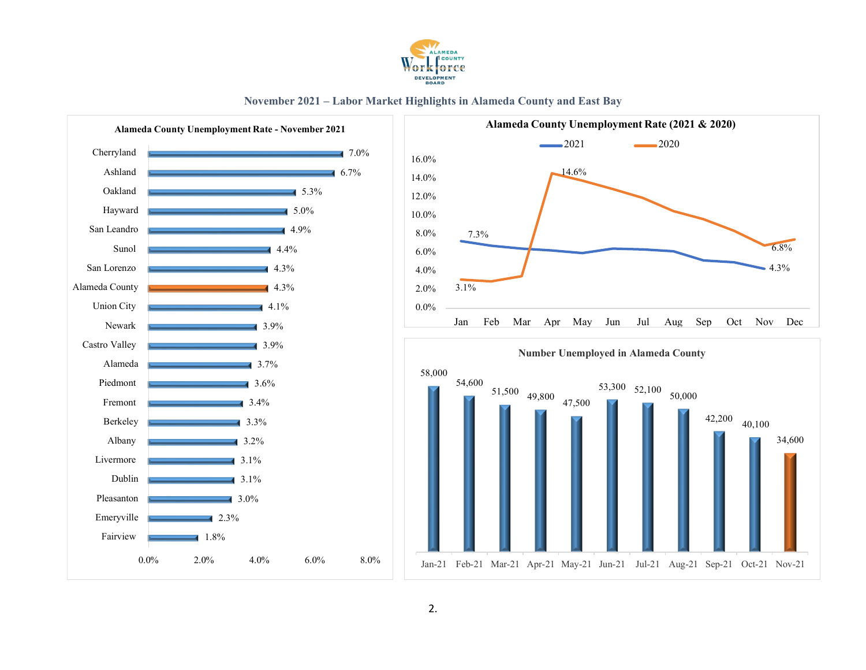

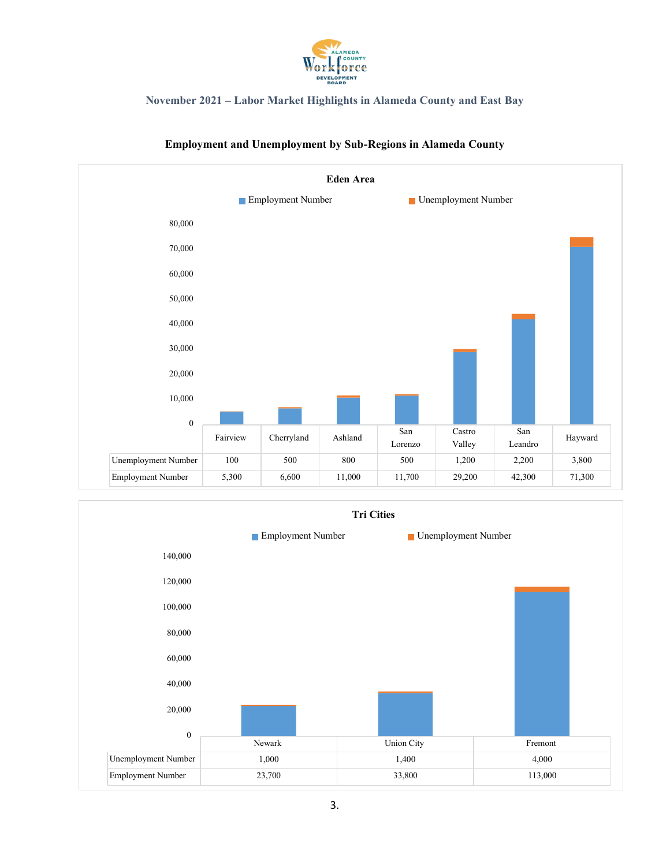



### **Employment and Unemployment by Sub-Regions in Alameda County**

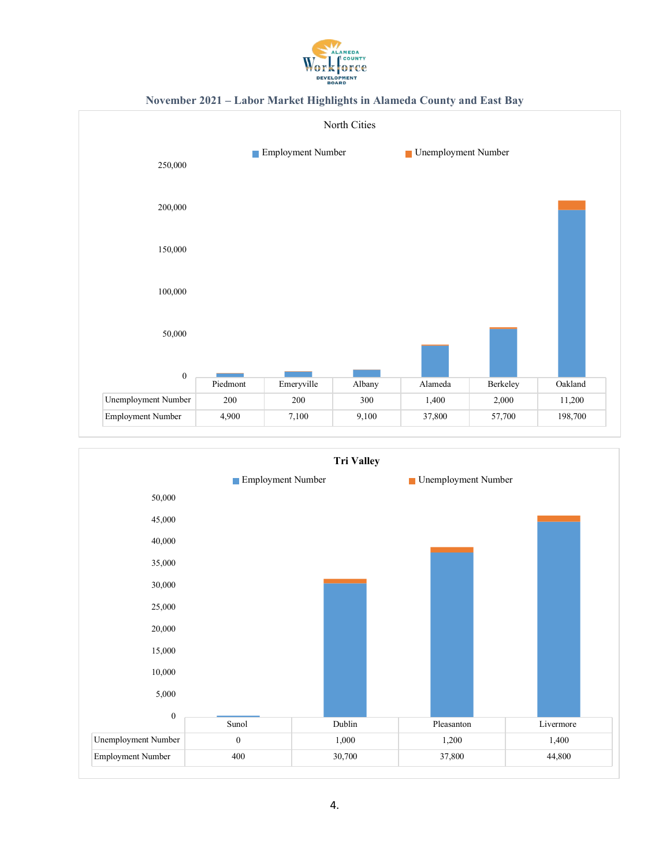





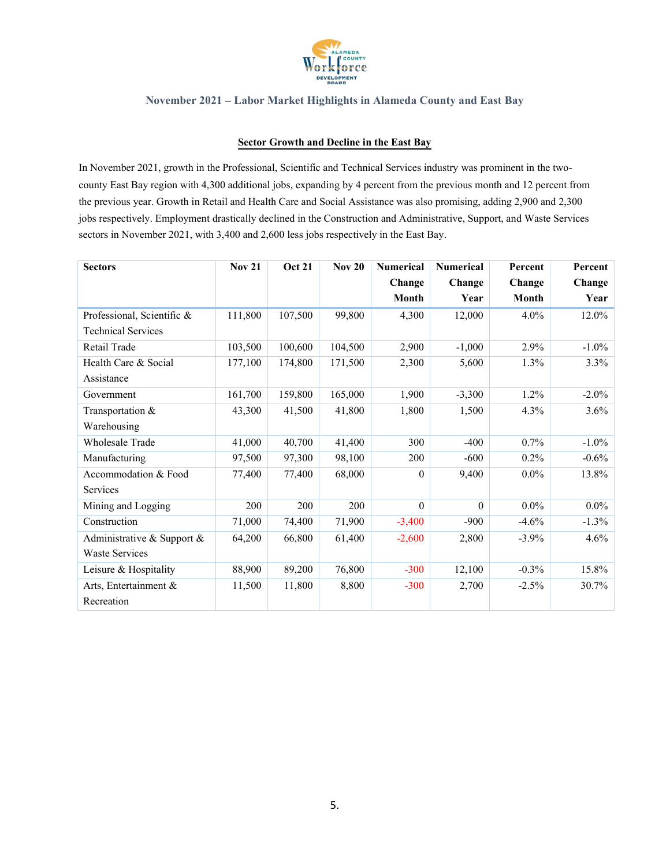

#### **Sector Growth and Decline in the East Bay**

In November 2021, growth in the Professional, Scientific and Technical Services industry was prominent in the twocounty East Bay region with 4,300 additional jobs, expanding by 4 percent from the previous month and 12 percent from the previous year. Growth in Retail and Health Care and Social Assistance was also promising, adding 2,900 and 2,300 jobs respectively. Employment drastically declined in the Construction and Administrative, Support, and Waste Services sectors in November 2021, with 3,400 and 2,600 less jobs respectively in the East Bay.

| <b>Sectors</b>             | <b>Nov 21</b> | <b>Oct 21</b> | <b>Nov 20</b> | <b>Numerical</b> | <b>Numerical</b> | Percent      | Percent  |
|----------------------------|---------------|---------------|---------------|------------------|------------------|--------------|----------|
|                            |               |               |               | Change           | Change           | Change       | Change   |
|                            |               |               |               | <b>Month</b>     | Year             | <b>Month</b> | Year     |
| Professional, Scientific & | 111,800       | 107,500       | 99,800        | 4,300            | 12,000           | 4.0%         | $12.0\%$ |
| <b>Technical Services</b>  |               |               |               |                  |                  |              |          |
| Retail Trade               | 103,500       | 100,600       | 104,500       | 2,900            | $-1,000$         | 2.9%         | $-1.0\%$ |
| Health Care & Social       | 177,100       | 174,800       | 171,500       | 2,300            | 5,600            | 1.3%         | 3.3%     |
| Assistance                 |               |               |               |                  |                  |              |          |
| Government                 | 161,700       | 159,800       | 165,000       | 1,900            | $-3,300$         | 1.2%         | $-2.0\%$ |
| Transportation &           | 43,300        | 41,500        | 41,800        | 1,800            | 1,500            | 4.3%         | $3.6\%$  |
| Warehousing                |               |               |               |                  |                  |              |          |
| Wholesale Trade            | 41,000        | 40,700        | 41,400        | 300              | $-400$           | 0.7%         | $-1.0\%$ |
| Manufacturing              | 97,500        | 97,300        | 98,100        | 200              | $-600$           | 0.2%         | $-0.6\%$ |
| Accommodation & Food       | 77,400        | 77,400        | 68,000        | $\theta$         | 9,400            | $0.0\%$      | 13.8%    |
| Services                   |               |               |               |                  |                  |              |          |
| Mining and Logging         | 200           | 200           | 200           | $\Omega$         | $\Omega$         | $0.0\%$      | $0.0\%$  |
| Construction               | 71,000        | 74,400        | 71,900        | $-3,400$         | $-900$           | $-4.6%$      | $-1.3\%$ |
| Administrative & Support & | 64,200        | 66,800        | 61,400        | $-2,600$         | 2,800            | $-3.9\%$     | 4.6%     |
| <b>Waste Services</b>      |               |               |               |                  |                  |              |          |
| Leisure & Hospitality      | 88,900        | 89,200        | 76,800        | $-300$           | 12,100           | $-0.3%$      | 15.8%    |
| Arts, Entertainment &      | 11,500        | 11,800        | 8,800         | $-300$           | 2,700            | $-2.5\%$     | 30.7%    |
| Recreation                 |               |               |               |                  |                  |              |          |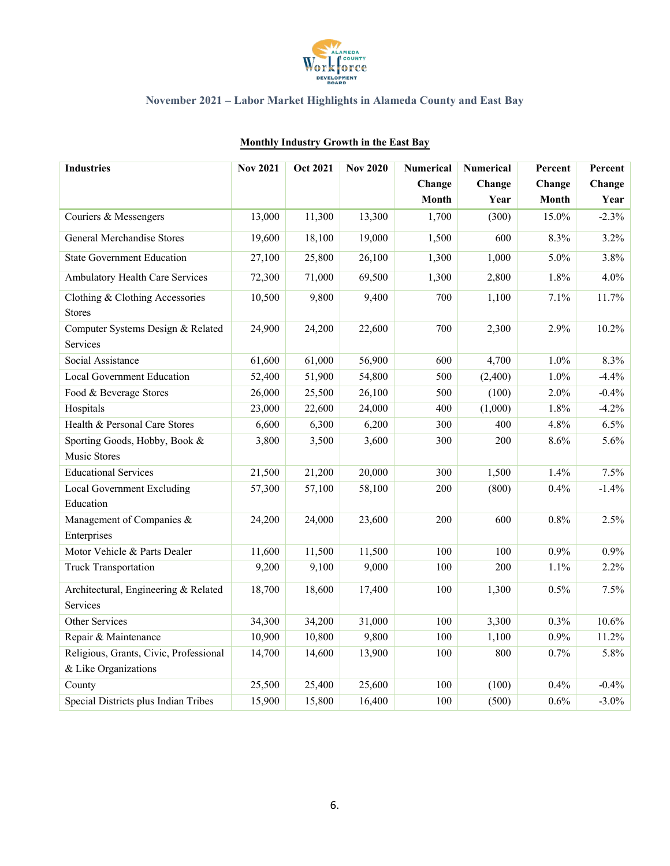

| <b>Industries</b>                                | <b>Nov 2021</b> | <b>Oct 2021</b> | <b>Nov 2020</b> | <b>Numerical</b> | <b>Numerical</b> | Percent      | Percent  |
|--------------------------------------------------|-----------------|-----------------|-----------------|------------------|------------------|--------------|----------|
|                                                  |                 |                 |                 | Change           | Change           | Change       | Change   |
|                                                  |                 |                 |                 | <b>Month</b>     | Year             | <b>Month</b> | Year     |
| Couriers & Messengers                            | 13,000          | 11,300          | 13,300          | 1,700            | (300)            | 15.0%        | $-2.3%$  |
| <b>General Merchandise Stores</b>                | 19,600          | 18,100          | 19,000          | 1,500            | 600              | 8.3%         | 3.2%     |
| <b>State Government Education</b>                | 27,100          | 25,800          | 26,100          | 1,300            | 1,000            | 5.0%         | 3.8%     |
| Ambulatory Health Care Services                  | 72,300          | 71,000          | 69,500          | 1,300            | 2,800            | 1.8%         | 4.0%     |
| Clothing & Clothing Accessories<br><b>Stores</b> | 10,500          | 9,800           | 9,400           | 700              | 1,100            | 7.1%         | 11.7%    |
| Computer Systems Design & Related<br>Services    | 24,900          | 24,200          | 22,600          | 700              | 2,300            | 2.9%         | 10.2%    |
| Social Assistance                                | 61,600          | 61,000          | 56,900          | 600              | 4,700            | 1.0%         | 8.3%     |
| <b>Local Government Education</b>                | 52,400          | 51,900          | 54,800          | 500              | (2,400)          | 1.0%         | $-4.4%$  |
| Food & Beverage Stores                           | 26,000          | 25,500          | 26,100          | 500              | (100)            | 2.0%         | $-0.4%$  |
| Hospitals                                        | 23,000          | 22,600          | 24,000          | 400              | (1,000)          | 1.8%         | $-4.2%$  |
| Health & Personal Care Stores                    | 6,600           | 6,300           | 6,200           | 300              | 400              | 4.8%         | 6.5%     |
| Sporting Goods, Hobby, Book &                    | 3,800           | 3,500           | 3,600           | 300              | 200              | 8.6%         | 5.6%     |
| Music Stores                                     |                 |                 |                 |                  |                  |              |          |
| <b>Educational Services</b>                      | 21,500          | 21,200          | 20,000          | 300              | 1,500            | 1.4%         | 7.5%     |
| Local Government Excluding                       | 57,300          | 57,100          | 58,100          | 200              | (800)            | 0.4%         | $-1.4%$  |
| Education                                        |                 |                 |                 |                  |                  |              |          |
| Management of Companies &                        | 24,200          | 24,000          | 23,600          | 200              | 600              | $0.8\%$      | 2.5%     |
| Enterprises                                      |                 |                 |                 |                  |                  |              |          |
| Motor Vehicle & Parts Dealer                     | 11,600          | 11,500          | 11,500          | 100              | 100              | 0.9%         | 0.9%     |
| Truck Transportation                             | 9,200           | 9,100           | 9,000           | 100              | 200              | 1.1%         | 2.2%     |
| Architectural, Engineering & Related             | 18,700          | 18,600          | 17,400          | 100              | 1,300            | 0.5%         | 7.5%     |
| <b>Services</b>                                  |                 |                 |                 |                  |                  |              |          |
| Other Services                                   | 34,300          | 34,200          | 31,000          | 100              | 3,300            | 0.3%         | 10.6%    |
| Repair & Maintenance                             | 10,900          | 10,800          | 9,800           | 100              | 1,100            | 0.9%         | 11.2%    |
| Religious, Grants, Civic, Professional           | 14,700          | 14,600          | 13,900          | 100              | 800              | 0.7%         | 5.8%     |
| & Like Organizations                             |                 |                 |                 |                  |                  |              |          |
| County                                           | 25,500          | 25,400          | 25,600          | 100              | (100)            | 0.4%         | $-0.4%$  |
| Special Districts plus Indian Tribes             | 15,900          | 15,800          | 16,400          | 100              | (500)            | 0.6%         | $-3.0\%$ |

## **Monthly Industry Growth in the East Bay**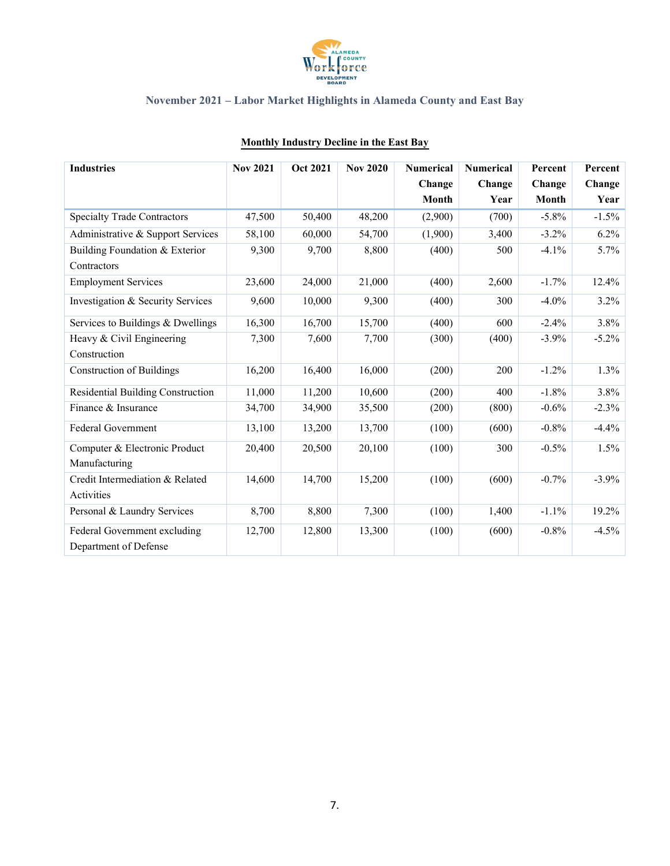

| <b>Industries</b>                  | <b>Nov 2021</b> | <b>Oct 2021</b> | <b>Nov 2020</b> | <b>Numerical</b> | <b>Numerical</b> | Percent      | Percent  |
|------------------------------------|-----------------|-----------------|-----------------|------------------|------------------|--------------|----------|
|                                    |                 |                 |                 | Change           | Change           | Change       | Change   |
|                                    |                 |                 |                 | <b>Month</b>     | Year             | <b>Month</b> | Year     |
| <b>Specialty Trade Contractors</b> | 47,500          | 50,400          | 48,200          | (2,900)          | (700)            | $-5.8\%$     | $-1.5%$  |
| Administrative & Support Services  | 58,100          | 60,000          | 54,700          | (1,900)          | 3,400            | $-3.2\%$     | 6.2%     |
| Building Foundation & Exterior     | 9,300           | 9,700           | 8,800           | (400)            | 500              | $-4.1%$      | 5.7%     |
| Contractors                        |                 |                 |                 |                  |                  |              |          |
| <b>Employment Services</b>         | 23,600          | 24,000          | 21,000          | (400)            | 2,600            | $-1.7%$      | 12.4%    |
| Investigation & Security Services  | 9,600           | 10,000          | 9,300           | (400)            | 300              | $-4.0\%$     | 3.2%     |
| Services to Buildings & Dwellings  | 16,300          | 16,700          | 15,700          | (400)            | 600              | $-2.4%$      | 3.8%     |
| Heavy & Civil Engineering          | 7,300           | 7,600           | 7,700           | (300)            | (400)            | $-3.9%$      | $-5.2\%$ |
| Construction                       |                 |                 |                 |                  |                  |              |          |
| <b>Construction of Buildings</b>   | 16,200          | 16,400          | 16,000          | (200)            | 200              | $-1.2%$      | 1.3%     |
| Residential Building Construction  | 11,000          | 11,200          | 10,600          | (200)            | 400              | $-1.8%$      | 3.8%     |
| Finance & Insurance                | 34,700          | 34,900          | 35,500          | (200)            | (800)            | $-0.6%$      | $-2.3%$  |
| Federal Government                 | 13,100          | 13,200          | 13,700          | (100)            | (600)            | $-0.8%$      | $-4.4%$  |
| Computer & Electronic Product      | 20,400          | 20,500          | 20,100          | (100)            | 300              | $-0.5%$      | 1.5%     |
| Manufacturing                      |                 |                 |                 |                  |                  |              |          |
| Credit Intermediation & Related    | 14,600          | 14,700          | 15,200          | (100)            | (600)            | $-0.7%$      | $-3.9%$  |
| Activities                         |                 |                 |                 |                  |                  |              |          |
| Personal & Laundry Services        | 8,700           | 8,800           | 7,300           | (100)            | 1,400            | $-1.1%$      | 19.2%    |
| Federal Government excluding       | 12,700          | 12,800          | 13,300          | (100)            | (600)            | $-0.8%$      | $-4.5%$  |
| Department of Defense              |                 |                 |                 |                  |                  |              |          |

## **Monthly Industry Decline in the East Bay**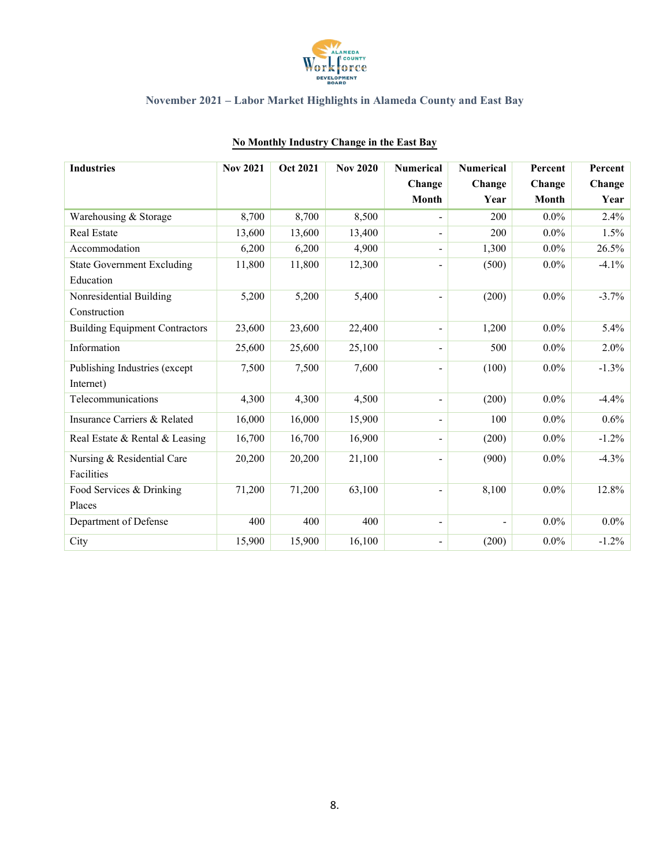

| <b>Industries</b>                     | <b>Nov 2021</b> | <b>Oct 2021</b> | <b>Nov 2020</b> | <b>Numerical</b>         | <b>Numerical</b> | Percent      | Percent  |
|---------------------------------------|-----------------|-----------------|-----------------|--------------------------|------------------|--------------|----------|
|                                       |                 |                 |                 | Change                   | Change           | Change       | Change   |
|                                       |                 |                 |                 | <b>Month</b>             | Year             | <b>Month</b> | Year     |
| Warehousing & Storage                 | 8,700           | 8,700           | 8,500           |                          | 200              | $0.0\%$      | 2.4%     |
| <b>Real Estate</b>                    | 13,600          | 13,600          | 13,400          |                          | 200              | $0.0\%$      | 1.5%     |
| Accommodation                         | 6,200           | 6,200           | 4,900           |                          | 1,300            | $0.0\%$      | 26.5%    |
| <b>State Government Excluding</b>     | 11,800          | 11,800          | 12,300          |                          | (500)            | $0.0\%$      | $-4.1%$  |
| Education                             |                 |                 |                 |                          |                  |              |          |
| Nonresidential Building               | 5,200           | 5,200           | 5,400           | $\overline{a}$           | (200)            | $0.0\%$      | $-3.7%$  |
| Construction                          |                 |                 |                 |                          |                  |              |          |
| <b>Building Equipment Contractors</b> | 23,600          | 23,600          | 22,400          | $\overline{\phantom{a}}$ | 1,200            | $0.0\%$      | 5.4%     |
| Information                           | 25,600          | 25,600          | 25,100          |                          | 500              | $0.0\%$      | 2.0%     |
| Publishing Industries (except         | 7,500           | 7,500           | 7,600           | $\overline{a}$           | (100)            | $0.0\%$      | $-1.3%$  |
| Internet)                             |                 |                 |                 |                          |                  |              |          |
| Telecommunications                    | 4,300           | 4,300           | 4,500           | $\overline{\phantom{a}}$ | (200)            | $0.0\%$      | $-4.4%$  |
| Insurance Carriers & Related          | 16,000          | 16,000          | 15,900          |                          | 100              | $0.0\%$      | 0.6%     |
| Real Estate & Rental & Leasing        | 16,700          | 16,700          | 16,900          |                          | (200)            | $0.0\%$      | $-1.2\%$ |
| Nursing & Residential Care            | 20,200          | 20,200          | 21,100          |                          | (900)            | $0.0\%$      | $-4.3%$  |
| Facilities                            |                 |                 |                 |                          |                  |              |          |
| Food Services & Drinking              | 71,200          | 71,200          | 63,100          |                          | 8,100            | $0.0\%$      | 12.8%    |
| Places                                |                 |                 |                 |                          |                  |              |          |
| Department of Defense                 | 400             | 400             | 400             |                          |                  | $0.0\%$      | $0.0\%$  |
| City                                  | 15,900          | 15,900          | 16,100          |                          | (200)            | $0.0\%$      | $-1.2\%$ |

### **No Monthly Industry Change in the East Bay**